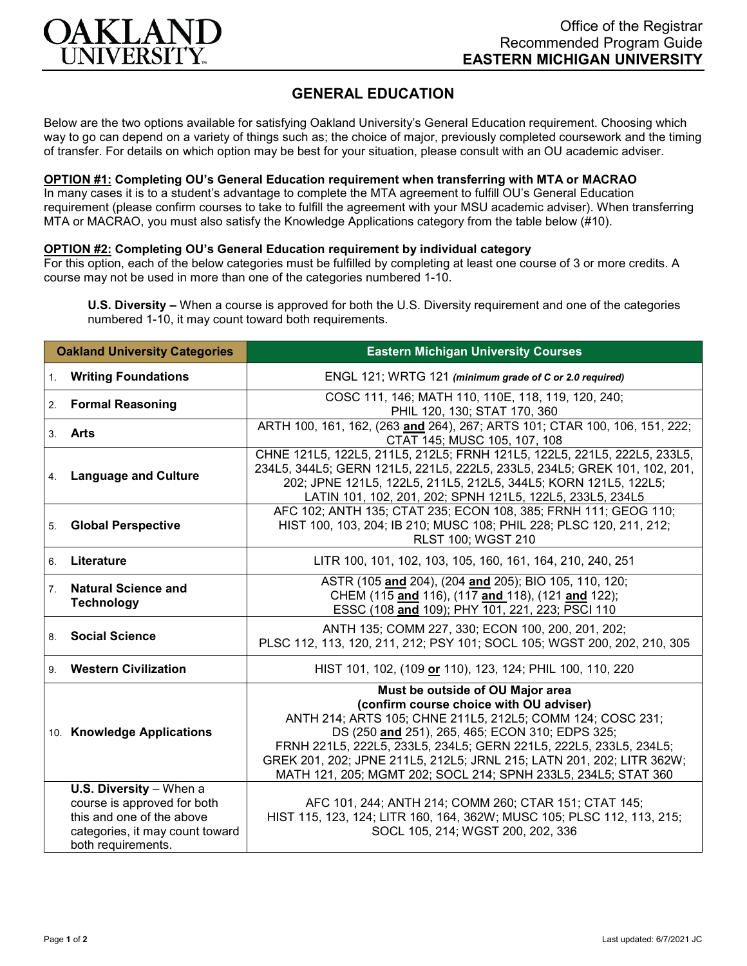

## **GENERAL EDUCATION**

Below are the two options available for satisfying Oakland University's General Education requirement. Choosing which way to go can depend on a variety of things such as; the choice of major, previously completed coursework and the timing of transfer. For details on which option may be best for your situation, please consult with an OU academic adviser.

## **OPTION #1: Completing OU's General Education requirement when transferring with MTA or MACRAO**

In many cases it is to a student's advantage to complete the MTA agreement to fulfill OU's General Education requirement (please confirm courses to take to fulfill the agreement with your MSU academic adviser). When transferring MTA or MACRAO, you must also satisfy the Knowledge Applications category from the table below (#10).

## **OPTION #2: Completing OU's General Education requirement by individual category**

For this option, each of the below categories must be fulfilled by completing at least one course of 3 or more credits. A course may not be used in more than one of the categories numbered 1-10.

**U.S. Diversity –** When a course is approved for both the U.S. Diversity requirement and one of the categories numbered 1-10, it may count toward both requirements.

| <b>Oakland University Categories</b> |                                                                                                                                                       | <b>Eastern Michigan University Courses</b>                                                                                                                                                                                                                                                                                                                                                                   |
|--------------------------------------|-------------------------------------------------------------------------------------------------------------------------------------------------------|--------------------------------------------------------------------------------------------------------------------------------------------------------------------------------------------------------------------------------------------------------------------------------------------------------------------------------------------------------------------------------------------------------------|
| 1.                                   | <b>Writing Foundations</b>                                                                                                                            | ENGL 121; WRTG 121 (minimum grade of C or 2.0 required)                                                                                                                                                                                                                                                                                                                                                      |
| 2.                                   | <b>Formal Reasoning</b>                                                                                                                               | COSC 111, 146; MATH 110, 110E, 118, 119, 120, 240;<br>PHIL 120, 130; STAT 170, 360                                                                                                                                                                                                                                                                                                                           |
| 3.                                   | Arts                                                                                                                                                  | ARTH 100, 161, 162, (263 and 264), 267; ARTS 101; CTAR 100, 106, 151, 222;<br>CTAT 145; MUSC 105, 107, 108                                                                                                                                                                                                                                                                                                   |
| 4.                                   | <b>Language and Culture</b>                                                                                                                           | CHNE 121L5, 122L5, 211L5, 212L5; FRNH 121L5, 122L5, 221L5, 222L5, 233L5,<br>234L5, 344L5; GERN 121L5, 221L5, 222L5, 233L5, 234L5; GREK 101, 102, 201,<br>202; JPNE 121L5, 122L5, 211L5, 212L5, 344L5; KORN 121L5, 122L5;<br>LATIN 101, 102, 201, 202; SPNH 121L5, 122L5, 233L5, 234L5                                                                                                                        |
| 5.                                   | <b>Global Perspective</b>                                                                                                                             | AFC 102; ANTH 135; CTAT 235; ECON 108, 385; FRNH 111; GEOG 110;<br>HIST 100, 103, 204; IB 210; MUSC 108; PHIL 228; PLSC 120, 211, 212;<br><b>RLST 100; WGST 210</b>                                                                                                                                                                                                                                          |
| 6.                                   | Literature                                                                                                                                            | LITR 100, 101, 102, 103, 105, 160, 161, 164, 210, 240, 251                                                                                                                                                                                                                                                                                                                                                   |
| 7 <sup>1</sup>                       | <b>Natural Science and</b><br><b>Technology</b>                                                                                                       | ASTR (105 and 204), (204 and 205); BIO 105, 110, 120;<br>CHEM (115 and 116), (117 and 118), (121 and 122);<br>ESSC (108 and 109); PHY 101, 221, 223; PSCI 110                                                                                                                                                                                                                                                |
| 8.                                   | <b>Social Science</b>                                                                                                                                 | ANTH 135; COMM 227, 330; ECON 100, 200, 201, 202;<br>PLSC 112, 113, 120, 211, 212; PSY 101; SOCL 105; WGST 200, 202, 210, 305                                                                                                                                                                                                                                                                                |
| 9.                                   | <b>Western Civilization</b>                                                                                                                           | HIST 101, 102, (109 or 110), 123, 124; PHIL 100, 110, 220                                                                                                                                                                                                                                                                                                                                                    |
|                                      | 10. Knowledge Applications                                                                                                                            | Must be outside of OU Major area<br>(confirm course choice with OU adviser)<br>ANTH 214; ARTS 105; CHNE 211L5, 212L5; COMM 124; COSC 231;<br>DS (250 and 251), 265, 465; ECON 310; EDPS 325;<br>FRNH 221L5, 222L5, 233L5, 234L5; GERN 221L5, 222L5, 233L5, 234L5;<br>GREK 201, 202; JPNE 211L5, 212L5; JRNL 215; LATN 201, 202; LITR 362W;<br>MATH 121, 205; MGMT 202; SOCL 214; SPNH 233L5, 234L5; STAT 360 |
|                                      | <b>U.S. Diversity</b> $-$ When a<br>course is approved for both<br>this and one of the above<br>categories, it may count toward<br>both requirements. | AFC 101, 244; ANTH 214; COMM 260; CTAR 151; CTAT 145;<br>HIST 115, 123, 124; LITR 160, 164, 362W; MUSC 105; PLSC 112, 113, 215;<br>SOCL 105, 214; WGST 200, 202, 336                                                                                                                                                                                                                                         |